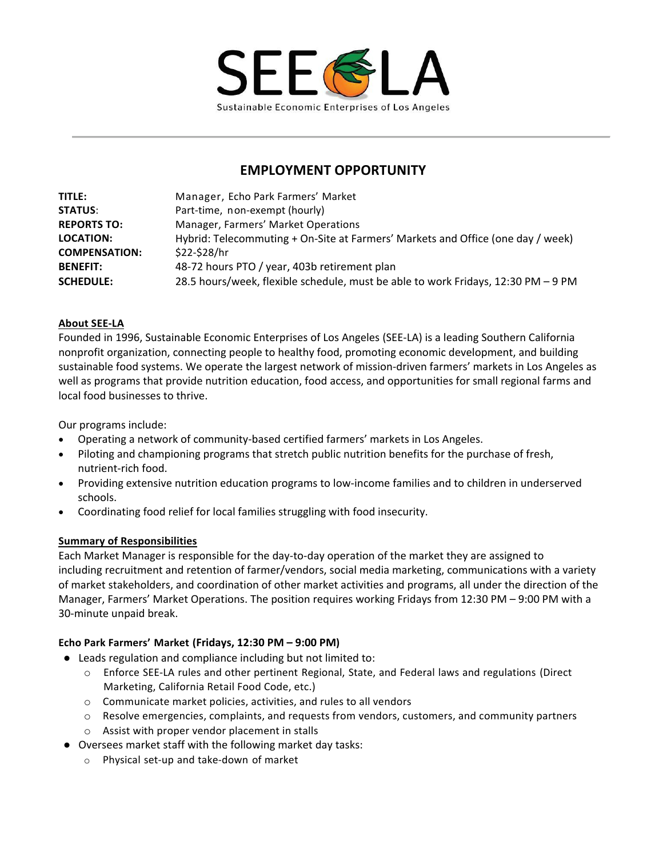

# **EMPLOYMENT OPPORTUNITY**

| <b>TITLE:</b>        | Manager, Echo Park Farmers' Market                                                |
|----------------------|-----------------------------------------------------------------------------------|
| <b>STATUS:</b>       | Part-time, non-exempt (hourly)                                                    |
| <b>REPORTS TO:</b>   | Manager, Farmers' Market Operations                                               |
| <b>LOCATION:</b>     | Hybrid: Telecommuting + On-Site at Farmers' Markets and Office (one day / week)   |
| <b>COMPENSATION:</b> | \$22-\$28/hr                                                                      |
| <b>BENEFIT:</b>      | 48-72 hours PTO / year, 403b retirement plan                                      |
| <b>SCHEDULE:</b>     | 28.5 hours/week, flexible schedule, must be able to work Fridays, 12:30 PM - 9 PM |

### **About SEE-LA**

Founded in 1996, Sustainable Economic Enterprises of Los Angeles (SEE-LA) is a leading Southern California nonprofit organization, connecting people to healthy food, promoting economic development, and building sustainable food systems. We operate the largest network of mission-driven farmers' markets in Los Angeles as well as programs that provide nutrition education, food access, and opportunities for small regional farms and local food businesses to thrive.

Our programs include:

- Operating a network of community-based certified farmers' markets in Los Angeles.
- Piloting and championing programs that stretch public nutrition benefits for the purchase of fresh, nutrient-rich food.
- Providing extensive nutrition education programs to low-income families and to children in underserved schools.
- Coordinating food relief for local families struggling with food insecurity.

### **Summary of Responsibilities**

Each Market Manager is responsible for the day-to-day operation of the market they are assigned to including recruitment and retention of farmer/vendors, social media marketing, communications with a variety of market stakeholders, and coordination of other market activities and programs, all under the direction of the Manager, Farmers' Market Operations. The position requires working Fridays from 12:30 PM – 9:00 PM with a 30-minute unpaid break.

### **Echo Park Farmers' Market (Fridays, 12:30 PM – 9:00 PM)**

- Leads regulation and compliance including but not limited to:
	- o Enforce SEE-LA rules and other pertinent Regional, State, and Federal laws and regulations (Direct Marketing, California Retail Food Code, etc.)
	- o Communicate market policies, activities, and rules to all vendors
	- $\circ$  Resolve emergencies, complaints, and requests from vendors, customers, and community partners
	- o Assist with proper vendor placement in stalls
- Oversees market staff with the following market day tasks:
	- o Physical set-up and take-down of market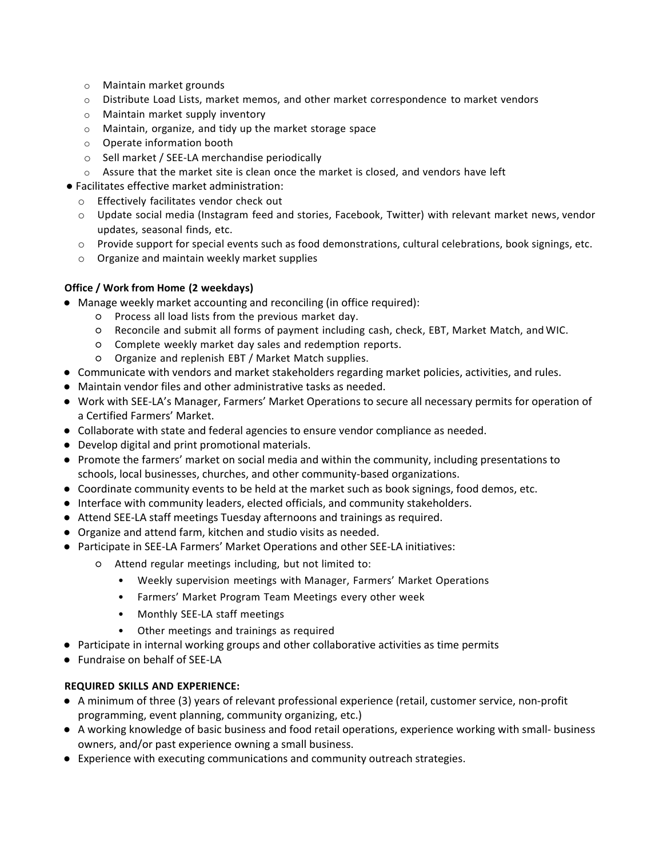- o Maintain market grounds
- $\circ$  Distribute Load Lists, market memos, and other market correspondence to market vendors
- o Maintain market supply inventory
- o Maintain, organize, and tidy up the market storage space
- o Operate information booth
- o Sell market / SEE-LA merchandise periodically
- $\circ$  Assure that the market site is clean once the market is closed, and vendors have left
- Facilitates effective market administration:
	- o Effectively facilitates vendor check out
	- o Update social media (Instagram feed and stories, Facebook, Twitter) with relevant market news, vendor updates, seasonal finds, etc.
	- o Provide support for special events such as food demonstrations, cultural celebrations, book signings, etc.
	- o Organize and maintain weekly market supplies

## **Office / Work from Home (2 weekdays)**

- Manage weekly market accounting and reconciling (in office required):
	- Process all load lists from the previous market day.
	- Reconcile and submit all forms of payment including cash, check, EBT, Market Match, and WIC.
	- Complete weekly market day sales and redemption reports.
	- Organize and replenish EBT / Market Match supplies.
- Communicate with vendors and market stakeholders regarding market policies, activities, and rules.
- Maintain vendor files and other administrative tasks as needed.
- Work with SEE-LA's Manager, Farmers' Market Operations to secure all necessary permits for operation of a Certified Farmers' Market.
- Collaborate with state and federal agencies to ensure vendor compliance as needed.
- Develop digital and print promotional materials.
- Promote the farmers' market on social media and within the community, including presentations to schools, local businesses, churches, and other community-based organizations.
- Coordinate community events to be held at the market such as book signings, food demos, etc.
- Interface with community leaders, elected officials, and community stakeholders.
- Attend SEE-LA staff meetings Tuesday afternoons and trainings as required.
- Organize and attend farm, kitchen and studio visits as needed.
- Participate in SEE-LA Farmers' Market Operations and other SEE-LA initiatives:
	- Attend regular meetings including, but not limited to:
		- Weekly supervision meetings with Manager, Farmers' Market Operations
		- Farmers' Market Program Team Meetings every other week
		- Monthly SEE-LA staff meetings
		- Other meetings and trainings as required
- Participate in internal working groups and other collaborative activities as time permits
- Fundraise on behalf of SEE-LA

### **REQUIRED SKILLS AND EXPERIENCE:**

- A minimum of three (3) years of relevant professional experience (retail, customer service, non-profit programming, event planning, community organizing, etc.)
- A working knowledge of basic business and food retail operations, experience working with small- business owners, and/or past experience owning a small business.
- Experience with executing communications and community outreach strategies.